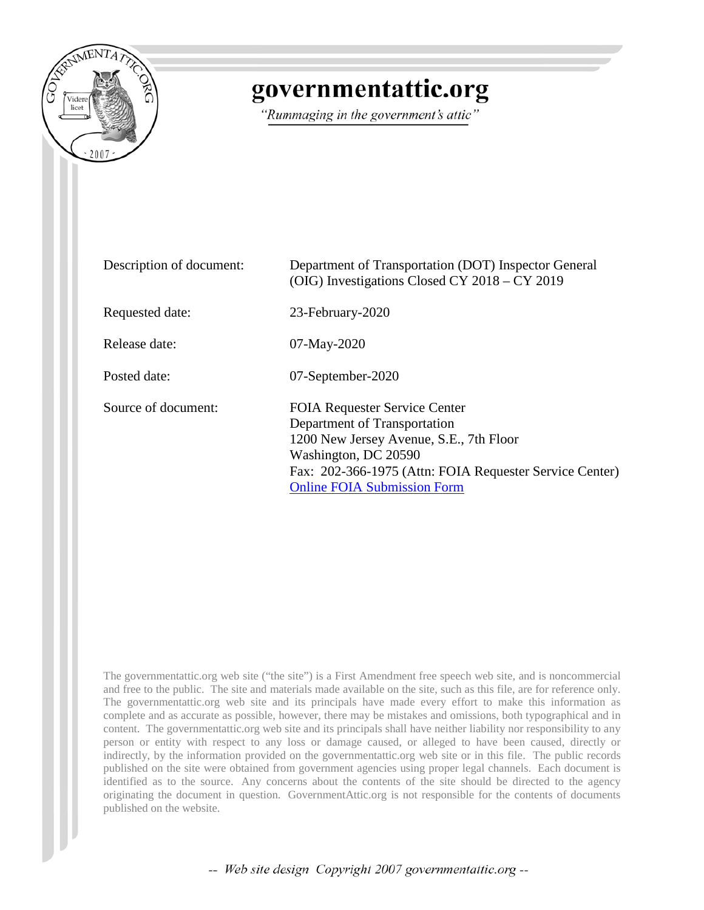

# governmentattic.org

"Rummaging in the government's attic"

| Description of document: | Department of Transportation (DOT) Inspector General<br>(OIG) Investigations Closed CY 2018 – CY 2019                                                                                                                                    |
|--------------------------|------------------------------------------------------------------------------------------------------------------------------------------------------------------------------------------------------------------------------------------|
| Requested date:          | 23-February-2020                                                                                                                                                                                                                         |
| Release date:            | $07$ -May-2020                                                                                                                                                                                                                           |
| Posted date:             | 07-September-2020                                                                                                                                                                                                                        |
| Source of document:      | <b>FOIA Requester Service Center</b><br>Department of Transportation<br>1200 New Jersey Avenue, S.E., 7th Floor<br>Washington, DC 20590<br>Fax: 202-366-1975 (Attn: FOIA Requester Service Center)<br><b>Online FOIA Submission Form</b> |

The governmentattic.org web site ("the site") is a First Amendment free speech web site, and is noncommercial and free to the public. The site and materials made available on the site, such as this file, are for reference only. The governmentattic.org web site and its principals have made every effort to make this information as complete and as accurate as possible, however, there may be mistakes and omissions, both typographical and in content. The governmentattic.org web site and its principals shall have neither liability nor responsibility to any person or entity with respect to any loss or damage caused, or alleged to have been caused, directly or indirectly, by the information provided on the governmentattic.org web site or in this file. The public records published on the site were obtained from government agencies using proper legal channels. Each document is identified as to the source. Any concerns about the contents of the site should be directed to the agency originating the document in question. GovernmentAttic.org is not responsible for the contents of documents published on the website.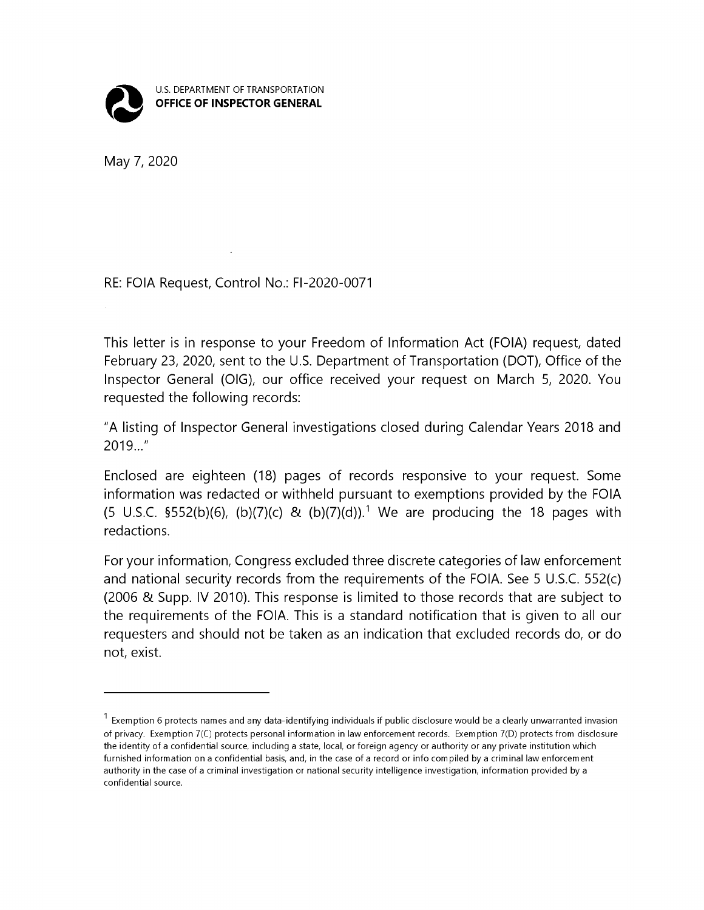

May 7, 2020

#### RE: FOIA Request, Control No.: Fl-2020-0071

This letter is in response to your Freedom of Information Act (FOIA) request, dated February 23, 2020, sent to the U.S. Department of Transportation (DOT), Office of the Inspector General (OIG), our office received your request on March 5, 2020. You requested the following records:

"A listing of Inspector General investigations closed during Calendar Years 2018 and  $2019...$ "

Enclosed are eighteen (18) pages of records responsive to your request. Some information was redacted or withheld pursuant to exemptions provided by the FOIA (5 U.S.C. §552(b)(6), (b)(7)(c) & (b)(7)(d)).<sup>1</sup> We are producing the 18 pages with redactions.

For your information, Congress excluded three discrete categories of law enforcement and national security records from the requirements of the FOIA. See 5 U.S.C. 552(c) (2006 & Supp. IV 2010). This response is limited to those records that are subject to the requirements of the FOIA. This is a standard notification that is given to all our requesters and should not be taken as an indication that excluded records do, or do not, exist.

 $^1$  Exemption 6 protects names and any data-identifying individuals if public disclosure would be a clearly unwarranted invasion of privacy. Exemption 7(C) protects personal information in law enforcement records. Exemption 7(D) protects from disclosure the identity of a confidential source, including a state, local, or foreign agency or authority or any private institution which furnished information on a confidential basis, and, in the case of a record or info compiled by a criminal law enforcement authority in the case of a criminal investigation or national security intelligence investigation, information provided by a confidential source.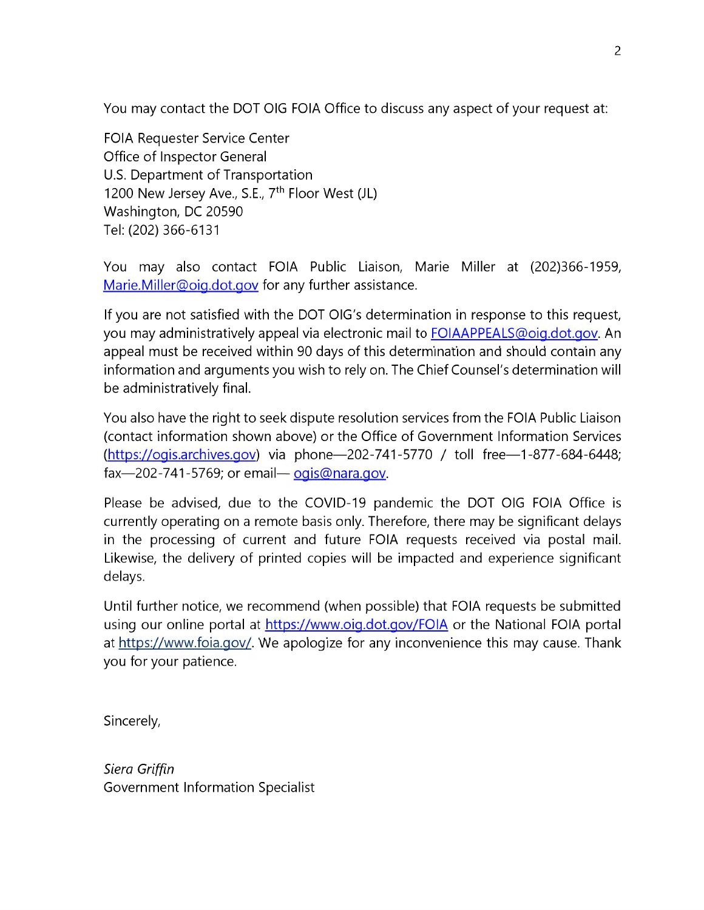You may contact the DOT OIG FOIA Office to discuss any aspect of your request at:

FOIA Requester Service Center Office of Inspector General U.S. Department of Transportation 1200 New Jersey Ave., S.E., 7<sup>th</sup> Floor West (JL) Washington, DC 20590 Tel: (202) 366-6131

You may also contact FOIA Public Liaison, Marie Miller at (202)366-1959, Marie.Miller@oig.dot.gov for any further assistance.

If you are not satisfied with the DOT OIG's determination in response to this request, you may administratively appeal via electronic mail to **FOIAAPPEALS@oig.dot.gov**. An appeal must be received within 90 days of this determination and should contain any information and arguments you wish to rely on. The Chief Counsel's determination will be administratively final.

You also have the right to seek dispute resolution services from the FOIA Public Liaison (contact information shown above) or the Office of Government Information Services  $(htts://ogis.archive.gov)$  via phone-202-741-5770 / toll free-1-877-684-6448;  $\frac{5}{202-741-5769}$ ; or email- $\frac{1}{2015}$  on area qov.

Please be advised, due to the COVID-19 pandemic the DOT OIG FOIA Office is currently operating on a remote basis only. Therefore, there may be significant delays in the processing of current and future FOIA requests received via postal mail. Likewise, the delivery of printed copies will be impacted and experience significant delays.

Until further notice, we recommend (when possible) that FOIA requests be submitted using our online portal at https://www.oig.dot.gov/FOIA or the National FOIA portal at https://www.foia.gov/. We apologize for any inconvenience this may cause. Thank you for your patience.

Sincerely,

*Siera Griffin*  Government Information Specialist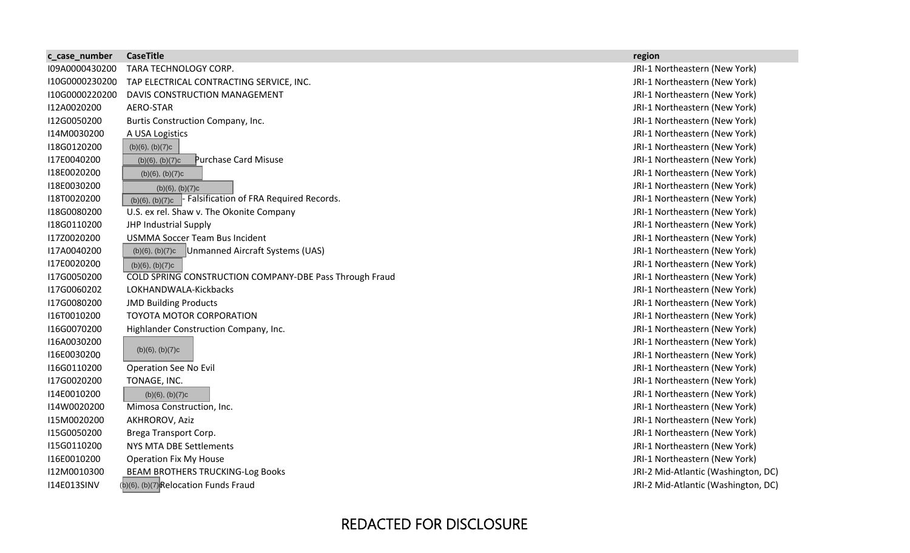| c_case_number      | <b>CaseTitle</b>                                            | region                              |
|--------------------|-------------------------------------------------------------|-------------------------------------|
| I09A0000430200     | TARA TECHNOLOGY CORP.                                       | JRI-1 Northeastern (New York)       |
| I10G0000230200     | TAP ELECTRICAL CONTRACTING SERVICE, INC.                    | JRI-1 Northeastern (New York)       |
| I10G0000220200     | DAVIS CONSTRUCTION MANAGEMENT                               | JRI-1 Northeastern (New York)       |
| I12A0020200        | AERO-STAR                                                   | JRI-1 Northeastern (New York)       |
| I12G0050200        | Burtis Construction Company, Inc.                           | JRI-1 Northeastern (New York)       |
| I14M0030200        | A USA Logistics                                             | JRI-1 Northeastern (New York)       |
| I18G0120200        | $(b)(6)$ , $(b)(7)c$                                        | JRI-1 Northeastern (New York)       |
| I17E0040200        | Purchase Card Misuse<br>(b)(6), (b)(7)c                     | JRI-1 Northeastern (New York)       |
| I18E0020200        | $(b)(6)$ , $(b)(7)c$                                        | JRI-1 Northeastern (New York)       |
| I18E0030200        | $(b)(6)$ , $(b)(7)c$                                        | JRI-1 Northeastern (New York)       |
| I18T0020200        | - Falsification of FRA Required Records.<br>(b)(6), (b)(7)c | JRI-1 Northeastern (New York)       |
| I18G0080200        | U.S. ex rel. Shaw v. The Okonite Company                    | JRI-1 Northeastern (New York)       |
| I18G0110200        | JHP Industrial Supply                                       | JRI-1 Northeastern (New York)       |
| I17Z0020200        | <b>USMMA Soccer Team Bus Incident</b>                       | JRI-1 Northeastern (New York)       |
| I17A0040200        | Unmanned Aircraft Systems (UAS)<br>$(b)(6)$ , $(b)(7)c$     | JRI-1 Northeastern (New York)       |
| I17E0020200        | (b)(6), (b)(7)c                                             | JRI-1 Northeastern (New York)       |
| I17G0050200        | COLD SPRING CONSTRUCTION COMPANY-DBE Pass Through Fraud     | JRI-1 Northeastern (New York)       |
| I17G0060202        | LOKHANDWALA-Kickbacks                                       | JRI-1 Northeastern (New York)       |
| I17G0080200        | <b>JMD Building Products</b>                                | JRI-1 Northeastern (New York)       |
| I16T0010200        | TOYOTA MOTOR CORPORATION                                    | JRI-1 Northeastern (New York)       |
| I16G0070200        | Highlander Construction Company, Inc.                       | JRI-1 Northeastern (New York)       |
| I16A0030200        |                                                             | JRI-1 Northeastern (New York)       |
| I16E0030200        | $(b)(6)$ , $(b)(7)c$                                        | JRI-1 Northeastern (New York)       |
| I16G0110200        | <b>Operation See No Evil</b>                                | JRI-1 Northeastern (New York)       |
| I17G0020200        | TONAGE, INC.                                                | JRI-1 Northeastern (New York)       |
| I14E0010200        | $(b)(6)$ , $(b)(7)c$                                        | JRI-1 Northeastern (New York)       |
| I14W0020200        | Mimosa Construction, Inc.                                   | JRI-1 Northeastern (New York)       |
| I15M0020200        | AKHROROV, Aziz                                              | JRI-1 Northeastern (New York)       |
| I15G0050200        | Brega Transport Corp.                                       | JRI-1 Northeastern (New York)       |
| I15G0110200        | <b>NYS MTA DBE Settlements</b>                              | JRI-1 Northeastern (New York)       |
| I16E0010200        | <b>Operation Fix My House</b>                               | JRI-1 Northeastern (New York)       |
| I12M0010300        | <b>BEAM BROTHERS TRUCKING-Log Books</b>                     | JRI-2 Mid-Atlantic (Washington, DC) |
| <b>I14E013SINV</b> | (b)(6), (b)(7)Relocation Funds Fraud                        | JRI-2 Mid-Atlantic (Washington, DC) |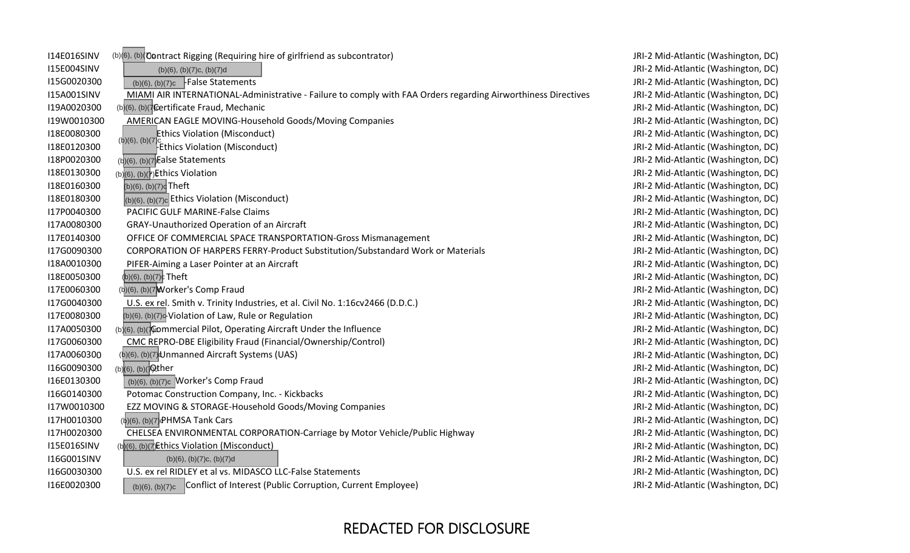| 114E016SINV        | (b)(6), (b)(Contract Rigging (Requiring hire of girlfriend as subcontrator)                                   | JRI-2 Mid-Atlantic (Washington, DC) |
|--------------------|---------------------------------------------------------------------------------------------------------------|-------------------------------------|
| I15E004SINV        | $(b)(6)$ , $(b)(7)c$ , $(b)(7)d$                                                                              | JRI-2 Mid-Atlantic (Washington, DC) |
| I15G0020300        | $(b)(6)$ , $(b)(7)c$ -False Statements                                                                        | JRI-2 Mid-Atlantic (Washington, DC) |
| <b>I15A001SINV</b> | MIAMI AIR INTERNATIONAL-Administrative - Failure to comply with FAA Orders regarding Airworthiness Directives | JRI-2 Mid-Atlantic (Washington, DC) |
| I19A0020300        | (b)(6), (b)(7Certificate Fraud, Mechanic                                                                      | JRI-2 Mid-Atlantic (Washington, DC) |
| I19W0010300        | <b>AMERICAN EAGLE MOVING-Household Goods/Moving Companies</b>                                                 | JRI-2 Mid-Atlantic (Washington, DC) |
| I18E0080300        | <b>Ethics Violation (Misconduct)</b>                                                                          | JRI-2 Mid-Atlantic (Washington, DC) |
| I18E0120300        | (b)(6), (b)(7)<br><b>Ethics Violation (Misconduct)</b>                                                        | JRI-2 Mid-Atlantic (Washington, DC) |
| I18P0020300        | $(b)(6)$ , $(b)(7)$ Ealse Statements                                                                          | JRI-2 Mid-Atlantic (Washington, DC) |
| I18E0130300        | $(b)(6)$ , $(b)(7)$ Ethics Violation                                                                          | JRI-2 Mid-Atlantic (Washington, DC) |
| I18E0160300        | (b)(6), (b)(7) <sup>c</sup> Theft                                                                             | JRI-2 Mid-Atlantic (Washington, DC) |
| I18E0180300        | $ _{(b)(6), (b)(7)c}$ Ethics Violation (Misconduct)                                                           | JRI-2 Mid-Atlantic (Washington, DC) |
| I17P0040300        | <b>PACIFIC GULF MARINE-False Claims</b>                                                                       | JRI-2 Mid-Atlantic (Washington, DC) |
| I17A0080300        | GRAY-Unauthorized Operation of an Aircraft                                                                    | JRI-2 Mid-Atlantic (Washington, DC) |
| I17E0140300        | OFFICE OF COMMERCIAL SPACE TRANSPORTATION-Gross Mismanagement                                                 | JRI-2 Mid-Atlantic (Washington, DC) |
| I17G0090300        | CORPORATION OF HARPERS FERRY-Product Substitution/Substandard Work or Materials                               | JRI-2 Mid-Atlantic (Washington, DC) |
| I18A0010300        | PIFER-Aiming a Laser Pointer at an Aircraft                                                                   | JRI-2 Mid-Atlantic (Washington, DC) |
| I18E0050300        | $(b)(6)$ , $(b)(7)c$ Theft                                                                                    | JRI-2 Mid-Atlantic (Washington, DC) |
| I17E0060300        | (b)(6), (b)(7) Worker's Comp Fraud                                                                            | JRI-2 Mid-Atlantic (Washington, DC) |
| I17G0040300        | U.S. ex rel. Smith v. Trinity Industries, et al. Civil No. 1:16cv2466 (D.D.C.)                                | JRI-2 Mid-Atlantic (Washington, DC) |
| I17E0080300        | (b)(6), (b)(7) <sup>c</sup> Violation of Law, Rule or Regulation                                              | JRI-2 Mid-Atlantic (Washington, DC) |
| I17A0050300        | (b)(6), (b)( $\pi$ Commercial Pilot, Operating Aircraft Under the Influence                                   | JRI-2 Mid-Atlantic (Washington, DC) |
| I17G0060300        | CMC REPRO-DBE Eligibility Fraud (Financial/Ownership/Control)                                                 | JRI-2 Mid-Atlantic (Washington, DC) |
| I17A0060300        | (b)(6), (b)(7) Unmanned Aircraft Systems (UAS)                                                                | JRI-2 Mid-Atlantic (Washington, DC) |
| I16G0090300        | (b)(6), (b)(20ther                                                                                            | JRI-2 Mid-Atlantic (Washington, DC) |
| I16E0130300        | $(b)(6)$ , $(b)(7)c$ Worker's Comp Fraud                                                                      | JRI-2 Mid-Atlantic (Washington, DC) |
| I16G0140300        | Potomac Construction Company, Inc. - Kickbacks                                                                | JRI-2 Mid-Atlantic (Washington, DC) |
| I17W0010300        | EZZ MOVING & STORAGE-Household Goods/Moving Companies                                                         | JRI-2 Mid-Atlantic (Washington, DC) |
| I17H0010300        | $(b)(6)$ , $(b)(7)$ PHMSA Tank Cars                                                                           | JRI-2 Mid-Atlantic (Washington, DC) |
| I17H0020300        | CHELSEA ENVIRONMENTAL CORPORATION-Carriage by Motor Vehicle/Public Highway                                    | JRI-2 Mid-Atlantic (Washington, DC) |
| <b>I15E016SINV</b> | (b)(6), (b)(7)Ethics Violation (Misconduct)                                                                   | JRI-2 Mid-Atlantic (Washington, DC) |
| I16G001SINV        | $(b)(6)$ , $(b)(7)c$ , $(b)(7)d$                                                                              | JRI-2 Mid-Atlantic (Washington, DC) |
| I16G0030300        | U.S. ex rel RIDLEY et al vs. MIDASCO LLC-False Statements                                                     | JRI-2 Mid-Atlantic (Washington, DC) |
| I16E0020300        | Conflict of Interest (Public Corruption, Current Employee)<br>(b)(6), (b)(7)c                                 | JRI-2 Mid-Atlantic (Washington, DC) |

**College**  $\sim$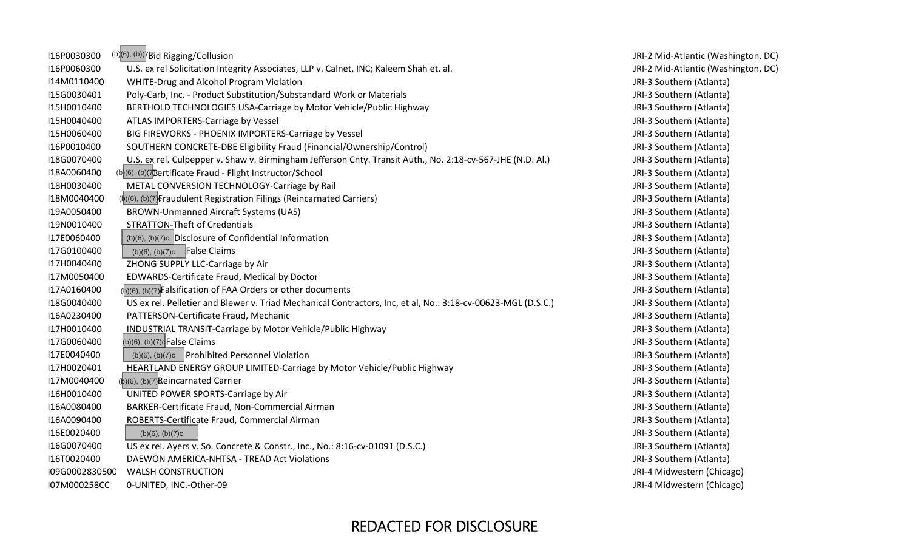| (b)(6), (b)(7Bid Rigging/Collusion                                                                           |
|--------------------------------------------------------------------------------------------------------------|
| U.S. ex rel Solicitation Integrity Associates, LLP v. Calnet, INC; Kaleem Shah et. al.                       |
| WHITE-Drug and Alcohol Program Violation                                                                     |
| Poly-Carb, Inc. - Product Substitution/Substandard Work or Materials                                         |
| BERTHOLD TECHNOLOGIES USA-Carriage by Motor Vehicle/Public Highway                                           |
| ATLAS IMPORTERS-Carriage by Vessel                                                                           |
| BIG FIREWORKS - PHOENIX IMPORTERS-Carriage by Vessel                                                         |
| SOUTHERN CONCRETE-DBE Eligibility Fraud (Financial/Ownership/Control)                                        |
| U.S. ex rel. Culpepper v. Shaw v. Birmingham Jefferson Cnty. Transit Auth., No. 2:18-cv-567-JHE (N.D. Al.)   |
| (b)(6), (b)(7Certificate Fraud - Flight Instructor/School                                                    |
| METAL CONVERSION TECHNOLOGY-Carriage by Rail                                                                 |
| (b)(6), (b)(7) Fraudulent Registration Filings (Reincarnated Carriers)                                       |
| <b>BROWN-Unmanned Aircraft Systems (UAS)</b>                                                                 |
| <b>STRATTON-Theft of Credentials</b>                                                                         |
| (b)(6), (b)(7)c Disclosure of Confidential Information                                                       |
| $(b)(6)$ , $(b)(7)c$ False Claims                                                                            |
| ZHONG SUPPLY LLC-Carriage by Air                                                                             |
| EDWARDS-Certificate Fraud, Medical by Doctor                                                                 |
| $(b)(6)$ , $(b)(7)$ Falsification of FAA Orders or other documents                                           |
| US ex rel. Pelletier and Blewer v. Triad Mechanical Contractors, Inc, et al, No.: 3:18-cv-00623-MGL (D.S.C.) |
| PATTERSON-Certificate Fraud, Mechanic                                                                        |
| INDUSTRIAL TRANSIT-Carriage by Motor Vehicle/Public Highway                                                  |
| (b)(6), (b)(7) <sup>c</sup> False Claims                                                                     |
| (b)(6), (b)(7)c Prohibited Personnel Violation                                                               |
| HEARTLAND ENERGY GROUP LIMITED-Carriage by Motor Vehicle/Public Highway                                      |
| $(b)(6)$ , $(b)(7)$ Reincarnated Carrier                                                                     |
| UNITED POWER SPORTS-Carriage by Air                                                                          |
| BARKER-Certificate Fraud, Non-Commercial Airman                                                              |
| ROBERTS-Certificate Fraud, Commercial Airman                                                                 |
| $(b)(6)$ , $(b)(7)c$                                                                                         |
| US ex rel. Ayers v. So. Concrete & Constr., Inc., No.: 8:16-cv-01091 (D.S.C.)                                |
| DAEWON AMERICA-NHTSA - TREAD Act Violations                                                                  |
| <b>WALSH CONSTRUCTION</b><br>I09G0002830500                                                                  |
| I07M000258CC<br>0-UNITED, INC.-Other-09                                                                      |
|                                                                                                              |

 $\sim$ 

#### JRI-2 Mid-Atlantic (Washington, DC) JRI-2 Mid-Atlantic (Washington, DC) JRI-3 Southern (Atlanta) JRI-3 Southern (Atlanta) JRI-3 Southern (Atlanta) JRI-3 Southern (Atlanta) JRI-3 Southern (Atlanta) JRI-3 Southern (Atlanta) JRI-3 Southern (Atlanta) JRI-3 Southern (Atlanta) JRI-3 Southern (Atlanta) JRI-3 Southern (Atlanta) JRI-3 Southern (Atlanta) JRI-3 Southern (Atlanta) JRI‐3 Southern (Atlanta) JRI-3 Southern (Atlanta) JRI-3 Southern (Atlanta) JRI-3 Southern (Atlanta) JRI-3 Southern (Atlanta) JRI-3 Southern (Atlanta) JRI-3 Southern (Atlanta) JRI-3 Southern (Atlanta) JRI-3 Southern (Atlanta) JRI‐3 Southern (Atlanta) JRI-3 Southern (Atlanta) JRI-3 Southern (Atlanta) JRI-3 Southern (Atlanta) JRI-3 Southern (Atlanta) JRI-3 Southern (Atlanta) JRI‐3 Southern (Atlanta) JRI-3 Southern (Atlanta) JRI-3 Southern (Atlanta) JRI‐4 Midwestern (Chicago) JRI-4 Midwestern (Chicago)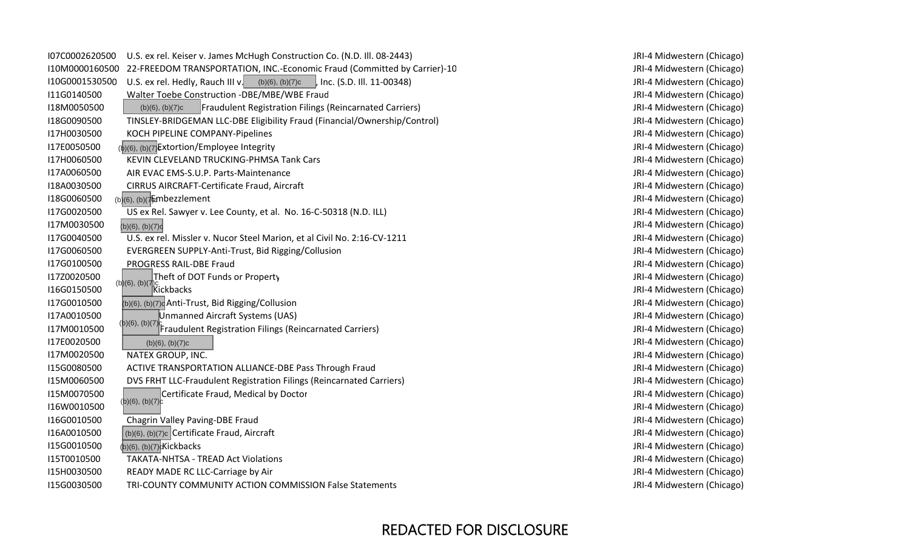| I07C0002620500 | U.S. ex rel. Keiser v. James McHugh Construction Co. (N.D. III. 08-2443)                 |
|----------------|------------------------------------------------------------------------------------------|
| I10M0000160500 | 22-FREEDOM TRANSPORTATION, INC.-Economic Fraud (Committed by Carrier)-10                 |
| I10G0001530500 | U.S. ex rel. Hedly, Rauch III v.<br>(b)(6), (b)(7)c<br>, Inc. (S.D. III. 11-00348)       |
| I11G0140500    | Walter Toebe Construction -DBE/MBE/WBE Fraud                                             |
| I18M0050500    | <b>Fraudulent Registration Filings (Reincarnated Carriers)</b><br>$(b)(6)$ , $(b)(7)c$   |
| I18G0090500    | TINSLEY-BRIDGEMAN LLC-DBE Eligibility Fraud (Financial/Ownership/Control)                |
| I17H0030500    | KOCH PIPELINE COMPANY-Pipelines                                                          |
| I17E0050500    | (b)(6), (b)(7) Extortion/Employee Integrity                                              |
| I17H0060500    | KEVIN CLEVELAND TRUCKING-PHMSA Tank Cars                                                 |
| I17A0060500    | AIR EVAC EMS-S.U.P. Parts-Maintenance                                                    |
| I18A0030500    | CIRRUS AIRCRAFT-Certificate Fraud, Aircraft                                              |
| I18G0060500    | $(b)(6)$ , $(b)(7500$ bezzlement                                                         |
| I17G0020500    | US ex Rel. Sawyer v. Lee County, et al. No. 16-C-50318 (N.D. ILL)                        |
| I17M0030500    | (b)(6), (b)(7)c                                                                          |
| I17G0040500    | U.S. ex rel. Missler v. Nucor Steel Marion, et al Civil No. 2:16-CV-1211                 |
| I17G0060500    | EVERGREEN SUPPLY-Anti-Trust, Bid Rigging/Collusion                                       |
| I17G0100500    | PROGRESS RAIL-DBE Fraud                                                                  |
| I17Z0020500    | Theft of DOT Funds or Property                                                           |
| I16G0150500    | $(b)(6), (b)(7)c$<br>Kickbacks                                                           |
| I17G0010500    | (b)(6), (b)(7)c Anti-Trust, Bid Rigging/Collusion                                        |
| I17A0010500    | Unmanned Aircraft Systems (UAS)                                                          |
| I17M0010500    | $(b)(6), (b)(7)$ <sub>c</sub><br>Fraudulent Registration Filings (Reincarnated Carriers) |
| I17E0020500    | (b)(6), (b)(7)c                                                                          |
| I17M0020500    | NATEX GROUP, INC.                                                                        |
| I15G0080500    | ACTIVE TRANSPORTATION ALLIANCE-DBE Pass Through Fraud                                    |
| I15M0060500    | DVS FRHT LLC-Fraudulent Registration Filings (Reincarnated Carriers)                     |
| I15M0070500    | Certificate Fraud, Medical by Doctor<br>(b)(6), (b)(7)c                                  |
| I16W0010500    |                                                                                          |
| I16G0010500    | Chagrin Valley Paving-DBE Fraud                                                          |
| I16A0010500    | $(b)(6)$ , $(b)(7)c$ Certificate Fraud, Aircraft                                         |
| I15G0010500    | (b)(6), (b)(7) Kickbacks                                                                 |
| I15T0010500    | <b>TAKATA-NHTSA - TREAD Act Violations</b>                                               |
| I15H0030500    | READY MADE RC LLC-Carriage by Air                                                        |
| I15G0030500    | TRI-COUNTY COMMUNITY ACTION COMMISSION False Statements                                  |

JRI-4 Midwestern (Chicago) JRI-4 Midwestern (Chicago) JRI-4 Midwestern (Chicago) JRI-4 Midwestern (Chicago) JRI-4 Midwestern (Chicago) JRI-4 Midwestern (Chicago) JRI-4 Midwestern (Chicago) JRI-4 Midwestern (Chicago) JRI-4 Midwestern (Chicago) JRI-4 Midwestern (Chicago) JRI-4 Midwestern (Chicago) JRI-4 Midwestern (Chicago) JRI-4 Midwestern (Chicago) JRI‐4 Midwestern (Chicago) JRI-4 Midwestern (Chicago) JRI-4 Midwestern (Chicago) JRI‐4 Midwestern (Chicago) JRI-4 Midwestern (Chicago) JRI-4 Midwestern (Chicago) JRI-4 Midwestern (Chicago) JRI-4 Midwestern (Chicago) JRI-4 Midwestern (Chicago) JRI‐4 Midwestern (Chicago) JRI-4 Midwestern (Chicago) JRI-4 Midwestern (Chicago) JRI-4 Midwestern (Chicago) JRI-4 Midwestern (Chicago) JRI‐4 Midwestern (Chicago) JRI-4 Midwestern (Chicago) JRI-4 Midwestern (Chicago) JRI-4 Midwestern (Chicago) JRI-4 Midwestern (Chicago) JRI-4 Midwestern (Chicago) JRI-4 Midwestern (Chicago)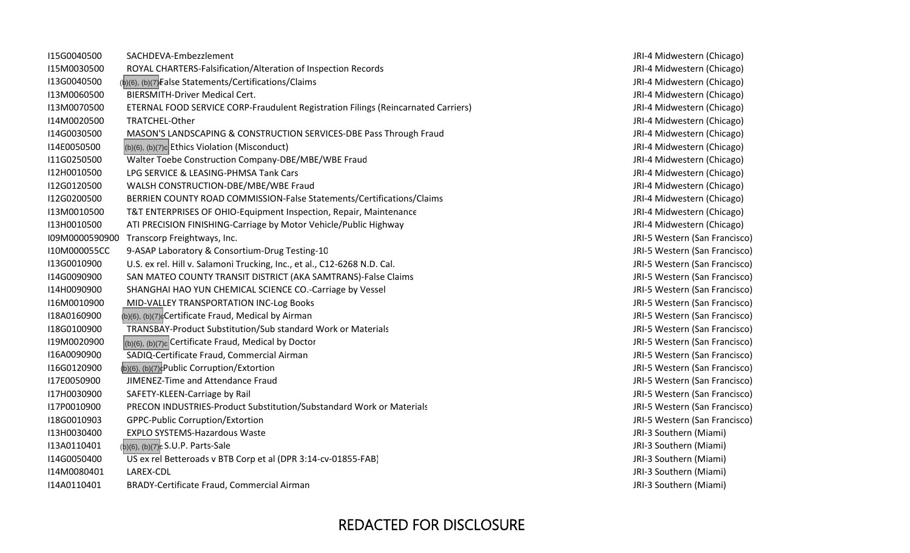| I15G0040500    | SACHDEVA-Embezzlement                                                             |
|----------------|-----------------------------------------------------------------------------------|
| I15M0030500    | ROYAL CHARTERS-Falsification/Alteration of Inspection Records                     |
| I13G0040500    | (b)(6), (b)(7) False Statements/Certifications/Claims                             |
| I13M0060500    | <b>BIERSMITH-Driver Medical Cert.</b>                                             |
| I13M0070500    | ETERNAL FOOD SERVICE CORP-Fraudulent Registration Filings (Reincarnated Carriers) |
| I14M0020500    | TRATCHEL-Other                                                                    |
| I14G0030500    | MASON'S LANDSCAPING & CONSTRUCTION SERVICES-DBE Pass Through Fraud                |
| I14E0050500    | (b)(6), (b)(7)c Ethics Violation (Misconduct)                                     |
| I11G0250500    | Walter Toebe Construction Company-DBE/MBE/WBE Fraud                               |
| I12H0010500    | LPG SERVICE & LEASING-PHMSA Tank Cars                                             |
| I12G0120500    | WALSH CONSTRUCTION-DBE/MBE/WBE Fraud                                              |
| I12G0200500    | BERRIEN COUNTY ROAD COMMISSION-False Statements/Certifications/Claims             |
| I13M0010500    | T&T ENTERPRISES OF OHIO-Equipment Inspection, Repair, Maintenance                 |
| I13H0010500    | ATI PRECISION FINISHING-Carriage by Motor Vehicle/Public Highway                  |
| I09M0000590900 | Transcorp Freightways, Inc.                                                       |
| I10M000055CC   | 9-ASAP Laboratory & Consortium-Drug Testing-10                                    |
| I13G0010900    | U.S. ex rel. Hill v. Salamoni Trucking, Inc., et al., C12-6268 N.D. Cal.          |
| I14G0090900    | SAN MATEO COUNTY TRANSIT DISTRICT (AKA SAMTRANS)-False Claims                     |
| I14H0090900    | SHANGHAI HAO YUN CHEMICAL SCIENCE CO.-Carriage by Vessel                          |
| I16M0010900    | MID-VALLEY TRANSPORTATION INC-Log Books                                           |
| I18A0160900    | (b)(6), (b)(7) <sup>c</sup> Certificate Fraud, Medical by Airman                  |
| I18G0100900    | TRANSBAY-Product Substitution/Sub standard Work or Materials                      |
| I19M0020900    | $ _{(b)(6), (b)(7)c} $ Certificate Fraud, Medical by Doctor                       |
| I16A0090900    | SADIQ-Certificate Fraud, Commercial Airman                                        |
| I16G0120900    | (b)(6), (b)(7) <sup>c</sup> Public Corruption/Extortion                           |
| I17E0050900    | JIMENEZ-Time and Attendance Fraud                                                 |
| I17H0030900    | SAFETY-KLEEN-Carriage by Rail                                                     |
| I17P0010900    | PRECON INDUSTRIES-Product Substitution/Substandard Work or Materials              |
| I18G0010903    | <b>GPPC-Public Corruption/Extortion</b>                                           |
| I13H0030400    | <b>EXPLO SYSTEMS-Hazardous Waste</b>                                              |
| I13A0110401    | (b)(6), (b)(7) <sub>c</sub> S.U.P. Parts-Sale                                     |
| I14G0050400    | US ex rel Betteroads v BTB Corp et al (DPR 3:14-cv-01855-FAB)                     |
| I14M0080401    | LAREX-CDL                                                                         |
| I14A0110401    | BRADY-Certificate Fraud, Commercial Airman                                        |

JRI-4 Midwestern (Chicago) JRI-4 Midwestern (Chicago) JRI-4 Midwestern (Chicago) JRI-4 Midwestern (Chicago) JRI-4 Midwestern (Chicago) JRI-4 Midwestern (Chicago) JRI-4 Midwestern (Chicago) JRI-4 Midwestern (Chicago) JRI-4 Midwestern (Chicago) JRI-4 Midwestern (Chicago) JRI-4 Midwestern (Chicago) JRI-4 Midwestern (Chicago) JRI-4 Midwestern (Chicago) JRI-4 Midwestern (Chicago) JRI-5 Western (San Francisco) JRI-5 Western (San Francisco) JRI-5 Western (San Francisco) JRI-5 Western (San Francisco) JRI-5 Western (San Francisco) JRI-5 Western (San Francisco) JRI‐5 Western (San Francisco) JRI‐5 Western (San Francisco) JRI‐5 Western (San Francisco) JRI‐5 Western (San Francisco) JRI‐5 Western (San Francisco) JRI‐5 Western (San Francisco) JRI-5 Western (San Francisco) JRI-5 Western (San Francisco) JRI-5 Western (San Francisco) JRI-3 Southern (Miami) JRI-3 Southern (Miami) JRI-3 Southern (Miami) JRI-3 Southern (Miami) JRI-3 Southern (Miami)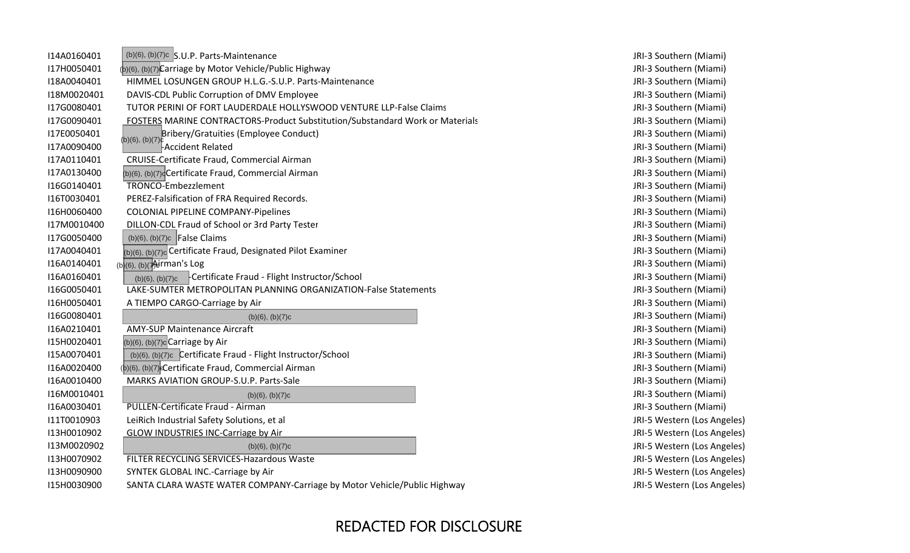| I14A0160401 | $(b)(6)$ , $(b)(7)c$ S.U.P. Parts-Maintenance                                 |
|-------------|-------------------------------------------------------------------------------|
| I17H0050401 | (b)(6), (b)(7) Carriage by Motor Vehicle/Public Highway                       |
| I18A0040401 | HIMMEL LOSUNGEN GROUP H.L.G.-S.U.P. Parts-Maintenance                         |
| I18M0020401 | DAVIS-CDL Public Corruption of DMV Employee                                   |
| I17G0080401 | TUTOR PERINI OF FORT LAUDERDALE HOLLYSWOOD VENTURE LLP-False Claims           |
| I17G0090401 | FOSTERS MARINE CONTRACTORS-Product Substitution/Substandard Work or Materials |
| I17E0050401 | Bribery/Gratuities (Employee Conduct)<br>$(b)(6)$ , $(b)(7)$                  |
| I17A0090400 | Accident Related                                                              |
| I17A0110401 | CRUISE-Certificate Fraud, Commercial Airman                                   |
| I17A0130400 | (b)(6), (b)(7) <sup>d</sup> Certificate Fraud, Commercial Airman              |
| I16G0140401 | <b>TRONCO-Embezzlement</b>                                                    |
| I16T0030401 | PEREZ-Falsification of FRA Required Records.                                  |
| I16H0060400 | COLONIAL PIPELINE COMPANY-Pipelines                                           |
| I17M0010400 | DILLON-CDL Fraud of School or 3rd Party Tester                                |
| I17G0050400 | $(b)(6)$ , $(b)(7)c$ False Claims                                             |
| I17A0040401 | $ _{(b)(6), (b)(7)c}$ Certificate Fraud, Designated Pilot Examiner            |
| I16A0140401 | (b)(6), (b)(7Airman's Log                                                     |
| I16A0160401 | -Certificate Fraud - Flight Instructor/School<br>(b)(6), (b)(7)c              |
| I16G0050401 | LAKE-SUMTER METROPOLITAN PLANNING ORGANIZATION-False Statements               |
| I16H0050401 | A TIEMPO CARGO-Carriage by Air                                                |
| I16G0080401 | (b)(6), (b)(7)c                                                               |
| I16A0210401 | <b>AMY-SUP Maintenance Aircraft</b>                                           |
| I15H0020401 | $(b)(6)$ , $(b)(7)c$ Carriage by Air                                          |
| I15A0070401 | (b)(6), (b)(7)c Certificate Fraud - Flight Instructor/School                  |
| I16A0020400 | (b)(6), (b)(7) eCertificate Fraud, Commercial Airman                          |
| I16A0010400 | MARKS AVIATION GROUP-S.U.P. Parts-Sale                                        |
| I16M0010401 | $(b)(6)$ , $(b)(7)c$                                                          |
| I16A0030401 | <b>PULLEN-Certificate Fraud - Airman</b>                                      |
| I11T0010903 | LeiRich Industrial Safety Solutions, et al                                    |
| I13H0010902 | <b>GLOW INDUSTRIES INC-Carriage by Air</b>                                    |
| I13M0020902 | (b)(6), (b)(7)c                                                               |
| I13H0070902 | FILTER RECYCLING SERVICES-Hazardous Waste                                     |
| I13H0090900 | SYNTEK GLOBAL INC.-Carriage by Air                                            |
| I15H0030900 | SANTA CLARA WASTE WATER COMPANY-Carriage by Motor Vehicle/Public Highway      |

JRI-3 Southern (Miami) JRI‐3 Southern (Miami) JRI-3 Southern (Miami) JRI-3 Southern (Miami) JRI-3 Southern (Miami) JRI-3 Southern (Miami) JRI‐3 Southern (Miami) JRI‐3 Southern (Miami) JRI-3 Southern (Miami) JRI-3 Southern (Miami) JRI-3 Southern (Miami) JRI-3 Southern (Miami) JRI-3 Southern (Miami) JRI-3 Southern (Miami) JRI-3 Southern (Miami) JRI-3 Southern (Miami) JRI-3 Southern (Miami) JRI-3 Southern (Miami) JRI-3 Southern (Miami) JRI-3 Southern (Miami) JRI‐3 Southern (Miami) JRI-3 Southern (Miami) JRI-3 Southern (Miami) JRI-3 Southern (Miami) JRI-3 Southern (Miami) JRI-3 Southern (Miami) JRI‐3 Southern (Miami) JRI‐3 Southern (Miami) JRI-5 Western (Los Angeles) JRI-5 Western (Los Angeles) JRI‐5 Western (Los Angeles) JRI-5 Western (Los Angeles) JRI-5 Western (Los Angeles) JRI-5 Western (Los Angeles)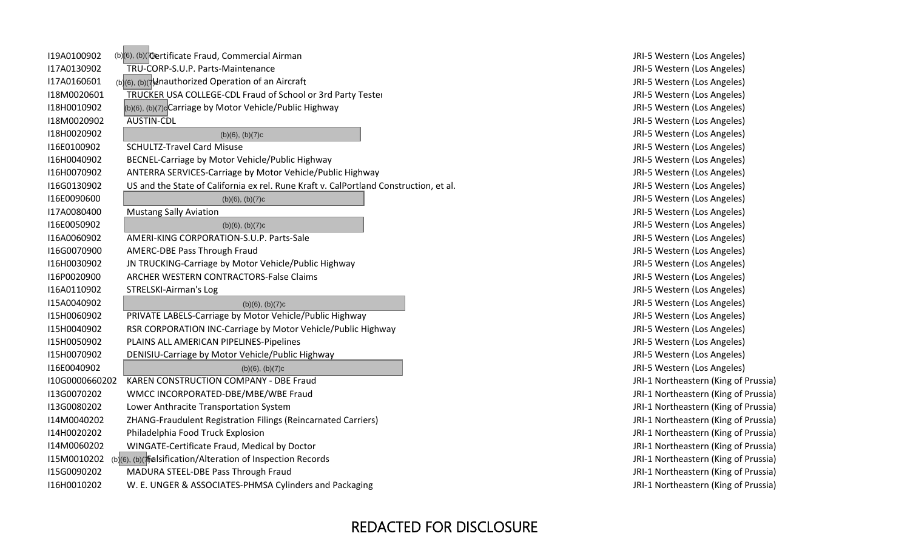| I19A0100902    | (b)(6), (b)( <i>Tertificate Fraud</i> , Commercial Airman                    |
|----------------|------------------------------------------------------------------------------|
| I17A0130902    | TRU-CORP-S.U.P. Parts-Maintenance                                            |
| I17A0160601    | (b)(6), (b)(7) dnauthorized Operation of an Aircraft                         |
| I18M0020601    | TRUCKER USA COLLEGE-CDL Fraud of School or 3rd Party Tester                  |
| I18H0010902    | (b)(6), (b)(7) <sup>c</sup> Carriage by Motor Vehicle/Public Highway         |
| I18M0020902    | <b>AUSTIN-CDL</b>                                                            |
| I18H0020902    | $(b)(6)$ , $(b)(7)c$                                                         |
| I16E0100902    | <b>SCHULTZ-Travel Card Misuse</b>                                            |
| I16H0040902    | BECNEL-Carriage by Motor Vehicle/Public Highway                              |
| I16H0070902    | ANTERRA SERVICES-Carriage by Motor Vehicle/Public Highway                    |
| I16G0130902    | US and the State of California ex rel. Rune Kraft v. CalPortland Constructio |
| I16E0090600    | (b)(6), (b)(7)c                                                              |
| I17A0080400    | <b>Mustang Sally Aviation</b>                                                |
| I16E0050902    | $(b)(6)$ , $(b)(7)c$                                                         |
| I16A0060902    | AMERI-KING CORPORATION-S.U.P. Parts-Sale                                     |
| I16G0070900    | AMERC-DBE Pass Through Fraud                                                 |
| I16H0030902    | JN TRUCKING-Carriage by Motor Vehicle/Public Highway                         |
| I16P0020900    | <b>ARCHER WESTERN CONTRACTORS-False Claims</b>                               |
| I16A0110902    | <b>STRELSKI-Airman's Log</b>                                                 |
| I15A0040902    | $(b)(6)$ , $(b)(7)c$                                                         |
| I15H0060902    | PRIVATE LABELS-Carriage by Motor Vehicle/Public Highway                      |
| I15H0040902    | RSR CORPORATION INC-Carriage by Motor Vehicle/Public Highway                 |
| I15H0050902    | PLAINS ALL AMERICAN PIPELINES-Pipelines                                      |
| I15H0070902    | DENISIU-Carriage by Motor Vehicle/Public Highway                             |
| I16E0040902    | $(b)(6)$ , $(b)(7)c$                                                         |
| I10G0000660202 | <b>KAREN CONSTRUCTION COMPANY - DBE Fraud</b>                                |
| I13G0070202    | WMCC INCORPORATED-DBE/MBE/WBE Fraud                                          |
| I13G0080202    | Lower Anthracite Transportation System                                       |
| I14M0040202    | ZHANG-Fraudulent Registration Filings (Reincarnated Carriers)                |
| I14H0020202    | Philadelphia Food Truck Explosion                                            |
| I14M0060202    | WINGATE-Certificate Fraud, Medical by Doctor                                 |
| I15M0010202    | (b)(6), (b)( $\frac{1}{2}$ alsification/Alteration of Inspection Records     |
| I15G0090202    | MADURA STEEL-DBE Pass Through Fraud                                          |
| I16H0010202    | W. E. UNGER & ASSOCIATES-PHMSA Cylinders and Packaging                       |

JRI-5 Western (Los Angeles) JRI-5 Western (Los Angeles) JRI‐5 Western (Los Angeles) JRI-5 Western (Los Angeles) JRI‐5 Western (Los Angeles) JRI-5 Western (Los Angeles) JRI-5 Western (Los Angeles) JRI-5 Western (Los Angeles) JRI-5 Western (Los Angeles) JRI-5 Western (Los Angeles) on, et al. The State of California ex relationship on the State of Construction, et al. JRI‐5 Western (Los Angeles) JRI-5 Western (Los Angeles) JRI‐5 Western (Los Angeles) JRI-5 Western (Los Angeles) JRI-5 Western (Los Angeles) JRI-5 Western (Los Angeles) JRI-5 Western (Los Angeles) JRI-5 Western (Los Angeles) JRI-5 Western (Los Angeles) JRI‐5 Western (Los Angeles) JRI-5 Western (Los Angeles) JRI-5 Western (Los Angeles) JRI-5 Western (Los Angeles) JRI-5 Western (Los Angeles) JRI‐5 Western (Los Angeles) JRI-1 Northeastern (King of Prussia) JRI-1 Northeastern (King of Prussia) JRI-1 Northeastern (King of Prussia) JRI-1 Northeastern (King of Prussia) JRI-1 Northeastern (King of Prussia) JRI-1 Northeastern (King of Prussia) JRI-1 Northeastern (King of Prussia) JRI-1 Northeastern (King of Prussia) JRI-1 Northeastern (King of Prussia)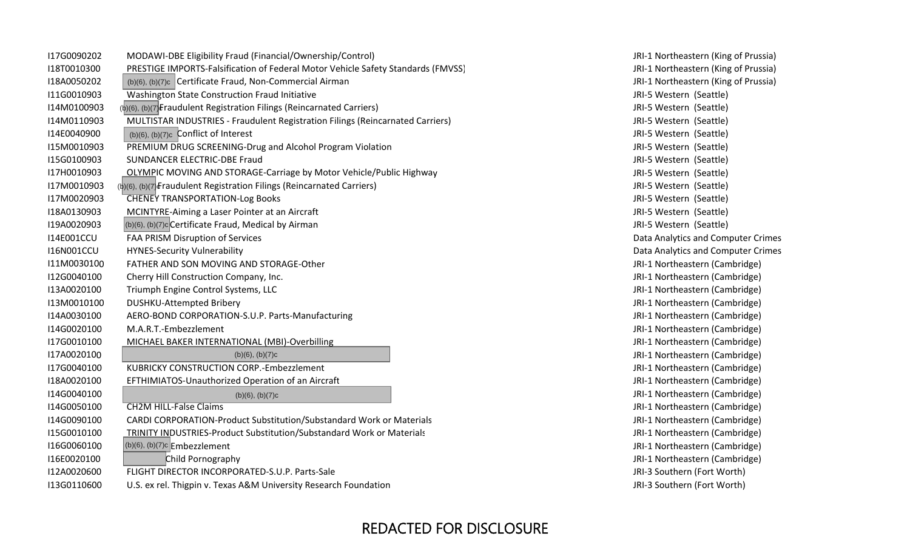| I17G0090202       | MODAWI-DBE Eligibility Fraud (Financial/Ownership/Control)                       | JRI-1 Northeastern (King of I |
|-------------------|----------------------------------------------------------------------------------|-------------------------------|
| I18T0010300       | PRESTIGE IMPORTS-Falsification of Federal Motor Vehicle Safety Standards (FMVSS) | JRI-1 Northeastern (King of I |
| I18A0050202       | (b)(6), (b)(7)c Certificate Fraud, Non-Commercial Airman                         | JRI-1 Northeastern (King of I |
| I11G0010903       | Washington State Construction Fraud Initiative                                   | JRI-5 Western (Seattle)       |
| I14M0100903       | (b)(6), (b)(7) Eraudulent Registration Filings (Reincarnated Carriers)           | JRI-5 Western (Seattle)       |
| I14M0110903       | MULTISTAR INDUSTRIES - Fraudulent Registration Filings (Reincarnated Carriers)   | JRI-5 Western (Seattle)       |
| I14E0040900       | $(b)(6)$ , $(b)(7)c$ Conflict of Interest                                        | JRI-5 Western (Seattle)       |
| I15M0010903       | PREMIUM DRUG SCREENING-Drug and Alcohol Program Violation                        | JRI-5 Western (Seattle)       |
| I15G0100903       | SUNDANCER ELECTRIC-DBE Fraud                                                     | JRI-5 Western (Seattle)       |
| I17H0010903       | <b>OLYMPIC MOVING AND STORAGE-Carriage by Motor Vehicle/Public Highway</b>       | JRI-5 Western (Seattle)       |
| I17M0010903       | (b)(6), (b)(7) Fraudulent Registration Filings (Reincarnated Carriers)           | JRI-5 Western (Seattle)       |
| I17M0020903       | <b>CHENEY TRANSPORTATION-Log Books</b>                                           | JRI-5 Western (Seattle)       |
| I18A0130903       | MCINTYRE-Aiming a Laser Pointer at an Aircraft                                   | JRI-5 Western (Seattle)       |
| I19A0020903       | (b)(6), (b)(7)c Certificate Fraud, Medical by Airman                             | JRI-5 Western (Seattle)       |
| <b>I14E001CCU</b> | FAA PRISM Disruption of Services                                                 | Data Analytics and Compute    |
| <b>I16N001CCU</b> | <b>HYNES-Security Vulnerability</b>                                              | Data Analytics and Compute    |
| I11M0030100       | FATHER AND SON MOVING AND STORAGE-Other                                          | JRI-1 Northeastern (Cambrid   |
| I12G0040100       | Cherry Hill Construction Company, Inc.                                           | JRI-1 Northeastern (Cambrid   |
| I13A0020100       | Triumph Engine Control Systems, LLC                                              | JRI-1 Northeastern (Cambrid   |
| I13M0010100       | DUSHKU-Attempted Bribery                                                         | JRI-1 Northeastern (Cambrid   |
| I14A0030100       | AERO-BOND CORPORATION-S.U.P. Parts-Manufacturing                                 | JRI-1 Northeastern (Cambrid   |
| I14G0020100       | M.A.R.T.-Embezzlement                                                            | JRI-1 Northeastern (Cambrid   |
| I17G0010100       | MICHAEL BAKER INTERNATIONAL (MBI)-Overbilling                                    | JRI-1 Northeastern (Cambrid   |
| I17A0020100       | $(b)(6)$ , $(b)(7)c$                                                             | JRI-1 Northeastern (Cambrid   |
| I17G0040100       | KUBRICKY CONSTRUCTION CORP.-Embezzlement                                         | JRI-1 Northeastern (Cambrid   |
| I18A0020100       | EFTHIMIATOS-Unauthorized Operation of an Aircraft                                | JRI-1 Northeastern (Cambrid   |
| I14G0040100       | $(b)(6)$ , $(b)(7)c$                                                             | JRI-1 Northeastern (Cambrid   |
| I14G0050100       | <b>CH2M HILL-False Claims</b>                                                    | JRI-1 Northeastern (Cambrid   |
| I14G0090100       | CARDI CORPORATION-Product Substitution/Substandard Work or Materials             | JRI-1 Northeastern (Cambrid   |
| I15G0010100       | <b>TRINITY INDUSTRIES-Product Substitution/Substandard Work or Materials</b>     | JRI-1 Northeastern (Cambrid   |
| I16G0060100       | $(b)(6)$ , $(b)(7)c$ Embezzlement                                                | JRI-1 Northeastern (Cambrid   |
| I16E0020100       | Child Pornography                                                                | JRI-1 Northeastern (Cambrid   |
| I12A0020600       | FLIGHT DIRECTOR INCORPORATED-S.U.P. Parts-Sale                                   | JRI-3 Southern (Fort Worth)   |
| I13G0110600       | U.S. ex rel. Thigpin v. Texas A&M University Research Foundation                 | JRI-3 Southern (Fort Worth)   |

JRI-1 Northeastern (King of Prussia) JRI-1 Northeastern (King of Prussia) JRI-1 Northeastern (King of Prussia) JRI-5 Western (Seattle) JRI-5 Western (Seattle) JRI-5 Western (Seattle) JRI-5 Western (Seattle) JRI-5 Western (Seattle) JRI-5 Western (Seattle) JRI-5 Western (Seattle) JRI-5 Western (Seattle) JRI-5 Western (Seattle) JRI-5 Western (Seattle) JRI‐5 Western (Seattle) Data Analytics and Computer Crimes Data Analytics and Computer Crimes JRI-1 Northeastern (Cambridge) JRI-1 Northeastern (Cambridge) JRI-1 Northeastern (Cambridge) JRI-1 Northeastern (Cambridge) JRI-1 Northeastern (Cambridge) JRI-1 Northeastern (Cambridge) JRI-1 Northeastern (Cambridge) JRI-1 Northeastern (Cambridge) JRI-1 Northeastern (Cambridge) JRI-1 Northeastern (Cambridge) JRI‐1 Northeastern (Cambridge) JRI-1 Northeastern (Cambridge) JRI-1 Northeastern (Cambridge) JRI-1 Northeastern (Cambridge) JRI-1 Northeastern (Cambridge) JRI-1 Northeastern (Cambridge) JRI-3 Southern (Fort Worth)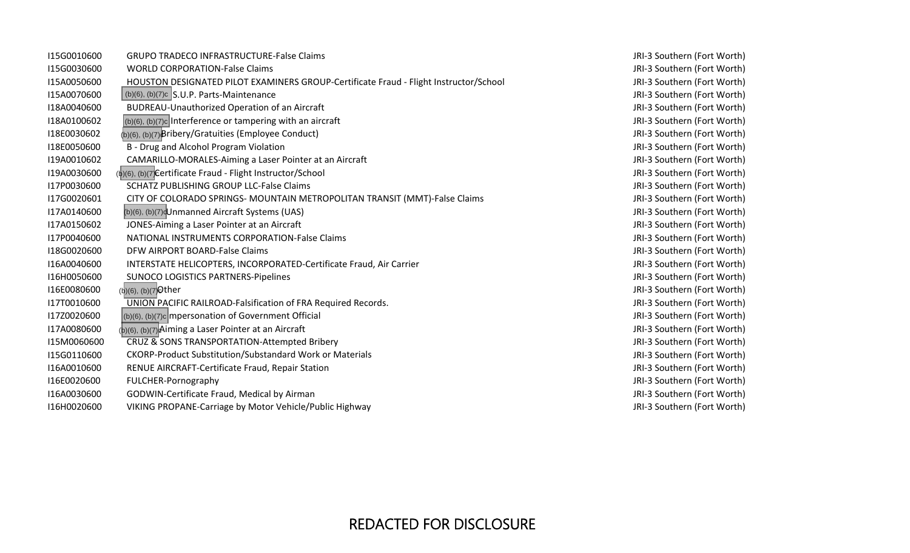| I15G0010600 | <b>GRUPO TRADECO INFRASTRUCTURE-False Claims</b>                                      |
|-------------|---------------------------------------------------------------------------------------|
| I15G0030600 | <b>WORLD CORPORATION-False Claims</b>                                                 |
| I15A0050600 | HOUSTON DESIGNATED PILOT EXAMINERS GROUP-Certificate Fraud - Flight Instructor/School |
| I15A0070600 | $(b)(6)$ , $(b)(7)c$ S.U.P. Parts-Maintenance                                         |
| I18A0040600 | <b>BUDREAU-Unauthorized Operation of an Aircraft</b>                                  |
| I18A0100602 | $(b)(6)$ , $(b)(7)c$ Interference or tampering with an aircraft                       |
| I18E0030602 | (b)(6), (b)(7) Bribery/Gratuities (Employee Conduct)                                  |
| I18E0050600 | B - Drug and Alcohol Program Violation                                                |
| I19A0010602 | CAMARILLO-MORALES-Aiming a Laser Pointer at an Aircraft                               |
| I19A0030600 | (b)(6), (b)(7) Certificate Fraud - Flight Instructor/School                           |
| I17P0030600 | <b>SCHATZ PUBLISHING GROUP LLC-False Claims</b>                                       |
| I17G0020601 | CITY OF COLORADO SPRINGS- MOUNTAIN METROPOLITAN TRANSIT (MMT)-False Claims            |
| I17A0140600 | (b)(6), (b)(7) Unmanned Aircraft Systems (UAS)                                        |
| I17A0150602 | JONES-Aiming a Laser Pointer at an Aircraft                                           |
| I17P0040600 | <b>NATIONAL INSTRUMENTS CORPORATION-False Claims</b>                                  |
| I18G0020600 | DFW AIRPORT BOARD-False Claims                                                        |
| I16A0040600 | INTERSTATE HELICOPTERS, INCORPORATED-Certificate Fraud, Air Carrier                   |
| I16H0050600 | <b>SUNOCO LOGISTICS PARTNERS-Pipelines</b>                                            |
| I16E0080600 | (b)(6), (b)(7) Other                                                                  |
| I17T0010600 | UNION PACIFIC RAILROAD-Falsification of FRA Required Records.                         |
| I17Z0020600 | (b)(6), (b)(7)c mpersonation of Government Official                                   |
| I17A0080600 | $(b)(6)$ , $(b)(7)$ Aiming a Laser Pointer at an Aircraft                             |
| I15M0060600 | CRUZ & SONS TRANSPORTATION-Attempted Bribery                                          |
| I15G0110600 | CKORP-Product Substitution/Substandard Work or Materials                              |
| I16A0010600 | RENUE AIRCRAFT-Certificate Fraud, Repair Station                                      |
| I16E0020600 | FULCHER-Pornography                                                                   |
| I16A0030600 | GODWIN-Certificate Fraud, Medical by Airman                                           |
| I16H0020600 | VIKING PROPANE-Carriage by Motor Vehicle/Public Highway                               |

 JRI‐3 Southern (Fort Worth) JRI‐3 Southern (Fort Worth) JRI‐3 Southern (Fort Worth) JRI‐3 Southern (Fort Worth) JRI‐3 Southern (Fort Worth) JRI‐3 Southern (Fort Worth) JRI‐3 Southern (Fort Worth) JRI‐3 Southern (Fort Worth) JRI‐3 Southern (Fort Worth) JRI‐3 Southern (Fort Worth) JRI‐3 Southern (Fort Worth) JRI‐3 Southern (Fort Worth) JRI‐3 Southern (Fort Worth) JRI‐3 Southern (Fort Worth) JRI‐3 Southern (Fort Worth) JRI‐3 Southern (Fort Worth) JRI‐3 Southern (Fort Worth) JRI‐3 Southern (Fort Worth) JRI‐3 Southern (Fort Worth) JRI‐3 Southern (Fort Worth) JRI‐3 Southern (Fort Worth) JRI‐3 Southern (Fort Worth) JRI‐3 Southern (Fort Worth) JRI‐3 Southern (Fort Worth) JRI‐3 Southern (Fort Worth) JRI‐3 Southern (Fort Worth) JRI‐3 Southern (Fort Worth) JRI‐3 Southern (Fort Worth)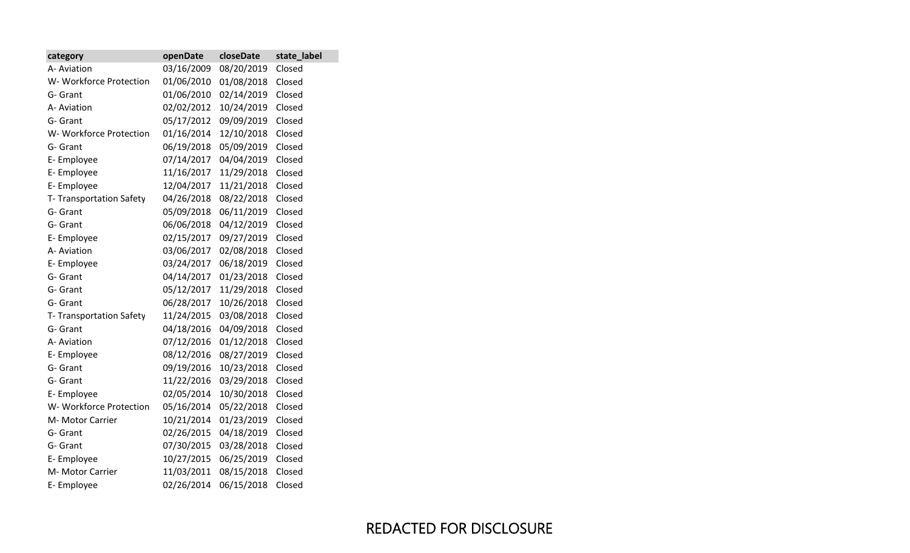| category                | openDate   | closeDate  | state_label |
|-------------------------|------------|------------|-------------|
| A- Aviation             | 03/16/2009 | 08/20/2019 | Closed      |
| W- Workforce Protection | 01/06/2010 | 01/08/2018 | Closed      |
| G- Grant                | 01/06/2010 | 02/14/2019 | Closed      |
| A- Aviation             | 02/02/2012 | 10/24/2019 | Closed      |
| G- Grant                | 05/17/2012 | 09/09/2019 | Closed      |
| W- Workforce Protection | 01/16/2014 | 12/10/2018 | Closed      |
| G- Grant                | 06/19/2018 | 05/09/2019 | Closed      |
| E-Employee              | 07/14/2017 | 04/04/2019 | Closed      |
| E-Employee              | 11/16/2017 | 11/29/2018 | Closed      |
| E-Employee              | 12/04/2017 | 11/21/2018 | Closed      |
| T-Transportation Safety | 04/26/2018 | 08/22/2018 | Closed      |
| G- Grant                | 05/09/2018 | 06/11/2019 | Closed      |
| G- Grant                | 06/06/2018 | 04/12/2019 | Closed      |
| E- Employee             | 02/15/2017 | 09/27/2019 | Closed      |
| A- Aviation             | 03/06/2017 | 02/08/2018 | Closed      |
| E-Employee              | 03/24/2017 | 06/18/2019 | Closed      |
| G- Grant                | 04/14/2017 | 01/23/2018 | Closed      |
| G- Grant                | 05/12/2017 | 11/29/2018 | Closed      |
| G- Grant                | 06/28/2017 | 10/26/2018 | Closed      |
| T-Transportation Safety | 11/24/2015 | 03/08/2018 | Closed      |
| G- Grant                | 04/18/2016 | 04/09/2018 | Closed      |
| A- Aviation             | 07/12/2016 | 01/12/2018 | Closed      |
| E-Employee              | 08/12/2016 | 08/27/2019 | Closed      |
| G- Grant                | 09/19/2016 | 10/23/2018 | Closed      |
| G- Grant                | 11/22/2016 | 03/29/2018 | Closed      |
| E-Employee              | 02/05/2014 | 10/30/2018 | Closed      |
| W- Workforce Protection | 05/16/2014 | 05/22/2018 | Closed      |
| M- Motor Carrier        | 10/21/2014 | 01/23/2019 | Closed      |
| G- Grant                | 02/26/2015 | 04/18/2019 | Closed      |
| G- Grant                | 07/30/2015 | 03/28/2018 | Closed      |
| E-Employee              | 10/27/2015 | 06/25/2019 | Closed      |
| M- Motor Carrier        | 11/03/2011 | 08/15/2018 | Closed      |
| E-Employee              | 02/26/2014 | 06/15/2018 | Closed      |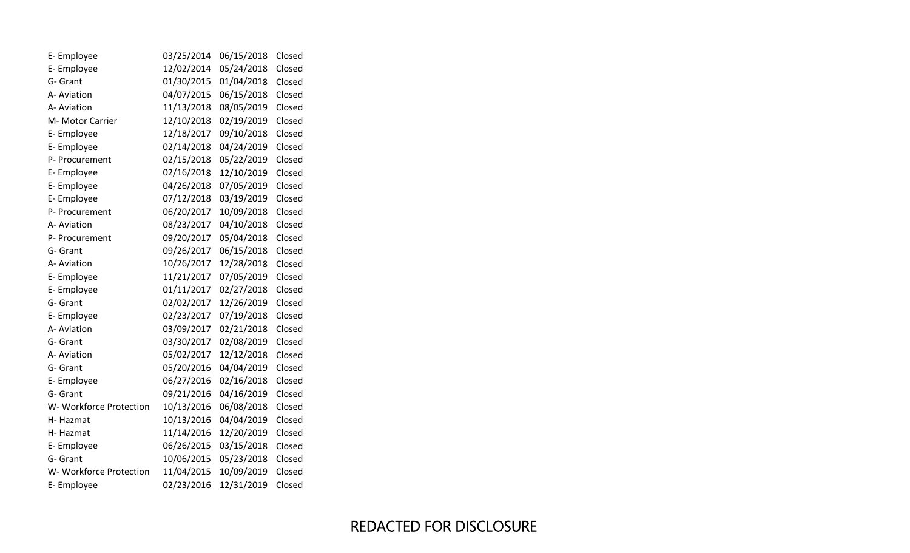| E-Employee              | 03/25/2014 | 06/15/2018 | Closed |
|-------------------------|------------|------------|--------|
| E-Employee              | 12/02/2014 | 05/24/2018 | Closed |
| G- Grant                | 01/30/2015 | 01/04/2018 | Closed |
| A- Aviation             | 04/07/2015 | 06/15/2018 | Closed |
| A- Aviation             | 11/13/2018 | 08/05/2019 | Closed |
| M- Motor Carrier        | 12/10/2018 | 02/19/2019 | Closed |
| E-Employee              | 12/18/2017 | 09/10/2018 | Closed |
| E-Employee              | 02/14/2018 | 04/24/2019 | Closed |
| P- Procurement          | 02/15/2018 | 05/22/2019 | Closed |
| E-Employee              | 02/16/2018 | 12/10/2019 | Closed |
| E-Employee              | 04/26/2018 | 07/05/2019 | Closed |
| E-Employee              | 07/12/2018 | 03/19/2019 | Closed |
| P- Procurement          | 06/20/2017 | 10/09/2018 | Closed |
| A- Aviation             | 08/23/2017 | 04/10/2018 | Closed |
| P- Procurement          | 09/20/2017 | 05/04/2018 | Closed |
| G- Grant                | 09/26/2017 | 06/15/2018 | Closed |
| A- Aviation             | 10/26/2017 | 12/28/2018 | Closed |
| E-Employee              | 11/21/2017 | 07/05/2019 | Closed |
| E-Employee              | 01/11/2017 | 02/27/2018 | Closed |
| G- Grant                | 02/02/2017 | 12/26/2019 | Closed |
| E-Employee              | 02/23/2017 | 07/19/2018 | Closed |
| A- Aviation             | 03/09/2017 | 02/21/2018 | Closed |
| G- Grant                | 03/30/2017 | 02/08/2019 | Closed |
| A- Aviation             | 05/02/2017 | 12/12/2018 | Closed |
| G- Grant                | 05/20/2016 | 04/04/2019 | Closed |
| E-Employee              | 06/27/2016 | 02/16/2018 | Closed |
| G- Grant                | 09/21/2016 | 04/16/2019 | Closed |
| W- Workforce Protection | 10/13/2016 | 06/08/2018 | Closed |
| H-Hazmat                | 10/13/2016 | 04/04/2019 | Closed |
| H-Hazmat                | 11/14/2016 | 12/20/2019 | Closed |
| E-Employee              | 06/26/2015 | 03/15/2018 | Closed |
| G- Grant                | 10/06/2015 | 05/23/2018 | Closed |
| W- Workforce Protection | 11/04/2015 | 10/09/2019 | Closed |
| E-Employee              | 02/23/2016 | 12/31/2019 | Closed |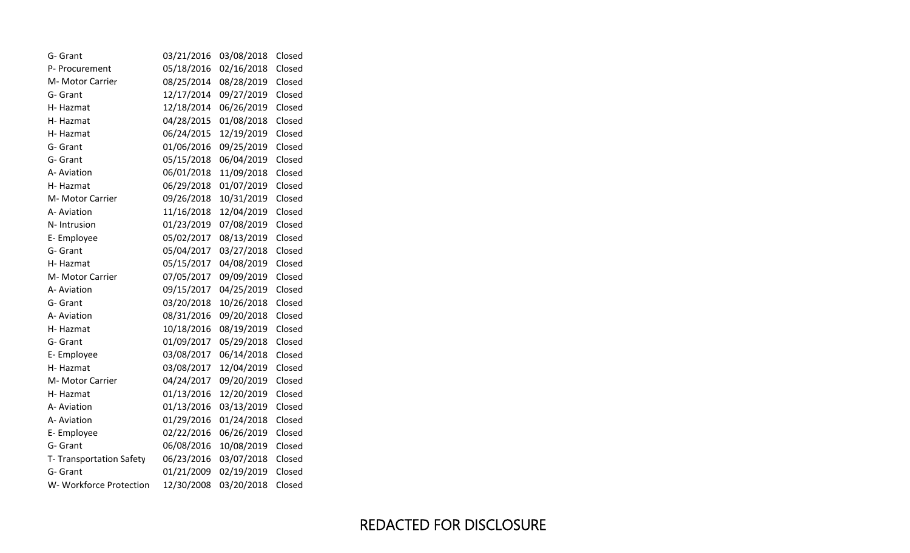| G- Grant                | 03/21/2016 | 03/08/2018 | Closed |
|-------------------------|------------|------------|--------|
| P- Procurement          | 05/18/2016 | 02/16/2018 | Closed |
| M- Motor Carrier        | 08/25/2014 | 08/28/2019 | Closed |
| G- Grant                | 12/17/2014 | 09/27/2019 | Closed |
| H-Hazmat                | 12/18/2014 | 06/26/2019 | Closed |
| H-Hazmat                | 04/28/2015 | 01/08/2018 | Closed |
| H-Hazmat                | 06/24/2015 | 12/19/2019 | Closed |
| G- Grant                | 01/06/2016 | 09/25/2019 | Closed |
| G- Grant                | 05/15/2018 | 06/04/2019 | Closed |
| A- Aviation             | 06/01/2018 | 11/09/2018 | Closed |
| H-Hazmat                | 06/29/2018 | 01/07/2019 | Closed |
| M- Motor Carrier        | 09/26/2018 | 10/31/2019 | Closed |
| A- Aviation             | 11/16/2018 | 12/04/2019 | Closed |
| N-Intrusion             | 01/23/2019 | 07/08/2019 | Closed |
| E-Employee              | 05/02/2017 | 08/13/2019 | Closed |
| G- Grant                | 05/04/2017 | 03/27/2018 | Closed |
| H-Hazmat                | 05/15/2017 | 04/08/2019 | Closed |
| M- Motor Carrier        | 07/05/2017 | 09/09/2019 | Closed |
| A- Aviation             | 09/15/2017 | 04/25/2019 | Closed |
| G- Grant                | 03/20/2018 | 10/26/2018 | Closed |
| A- Aviation             | 08/31/2016 | 09/20/2018 | Closed |
| H-Hazmat                | 10/18/2016 | 08/19/2019 | Closed |
| G- Grant                | 01/09/2017 | 05/29/2018 | Closed |
| E-Employee              | 03/08/2017 | 06/14/2018 | Closed |
| H-Hazmat                | 03/08/2017 | 12/04/2019 | Closed |
| M- Motor Carrier        | 04/24/2017 | 09/20/2019 | Closed |
| H-Hazmat                | 01/13/2016 | 12/20/2019 | Closed |
| A- Aviation             | 01/13/2016 | 03/13/2019 | Closed |
| A- Aviation             | 01/29/2016 | 01/24/2018 | Closed |
| E-Employee              | 02/22/2016 | 06/26/2019 | Closed |
| G- Grant                | 06/08/2016 | 10/08/2019 | Closed |
| T-Transportation Safety | 06/23/2016 | 03/07/2018 | Closed |
| G- Grant                | 01/21/2009 | 02/19/2019 | Closed |
| W- Workforce Protection | 12/30/2008 | 03/20/2018 | Closed |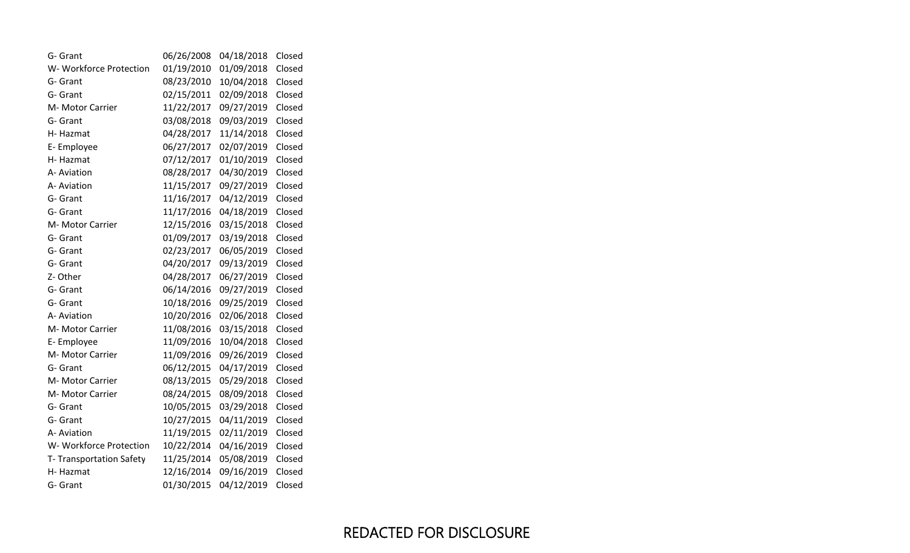| G- Grant                | 06/26/2008 | 04/18/2018 | Closed |
|-------------------------|------------|------------|--------|
| W- Workforce Protection | 01/19/2010 | 01/09/2018 | Closed |
| G- Grant                | 08/23/2010 | 10/04/2018 | Closed |
| G- Grant                | 02/15/2011 | 02/09/2018 | Closed |
| M- Motor Carrier        | 11/22/2017 | 09/27/2019 | Closed |
| G- Grant                | 03/08/2018 | 09/03/2019 | Closed |
| H-Hazmat                | 04/28/2017 | 11/14/2018 | Closed |
| E-Employee              | 06/27/2017 | 02/07/2019 | Closed |
| H-Hazmat                | 07/12/2017 | 01/10/2019 | Closed |
| A- Aviation             | 08/28/2017 | 04/30/2019 | Closed |
| A- Aviation             | 11/15/2017 | 09/27/2019 | Closed |
| G- Grant                | 11/16/2017 | 04/12/2019 | Closed |
| G- Grant                | 11/17/2016 | 04/18/2019 | Closed |
| M- Motor Carrier        | 12/15/2016 | 03/15/2018 | Closed |
| G- Grant                | 01/09/2017 | 03/19/2018 | Closed |
| G- Grant                | 02/23/2017 | 06/05/2019 | Closed |
| G- Grant                | 04/20/2017 | 09/13/2019 | Closed |
| Z-Other                 | 04/28/2017 | 06/27/2019 | Closed |
| G- Grant                | 06/14/2016 | 09/27/2019 | Closed |
| G- Grant                | 10/18/2016 | 09/25/2019 | Closed |
| A- Aviation             | 10/20/2016 | 02/06/2018 | Closed |
| M- Motor Carrier        | 11/08/2016 | 03/15/2018 | Closed |
| E-Employee              | 11/09/2016 | 10/04/2018 | Closed |
| M- Motor Carrier        | 11/09/2016 | 09/26/2019 | Closed |
| G- Grant                | 06/12/2015 | 04/17/2019 | Closed |
| M- Motor Carrier        | 08/13/2015 | 05/29/2018 | Closed |
| M- Motor Carrier        | 08/24/2015 | 08/09/2018 | Closed |
| G- Grant                | 10/05/2015 | 03/29/2018 | Closed |
| G- Grant                | 10/27/2015 | 04/11/2019 | Closed |
| A- Aviation             | 11/19/2015 | 02/11/2019 | Closed |
| W- Workforce Protection | 10/22/2014 | 04/16/2019 | Closed |
| T-Transportation Safety | 11/25/2014 | 05/08/2019 | Closed |
| H-Hazmat                | 12/16/2014 | 09/16/2019 | Closed |
| G- Grant                | 01/30/2015 | 04/12/2019 | Closed |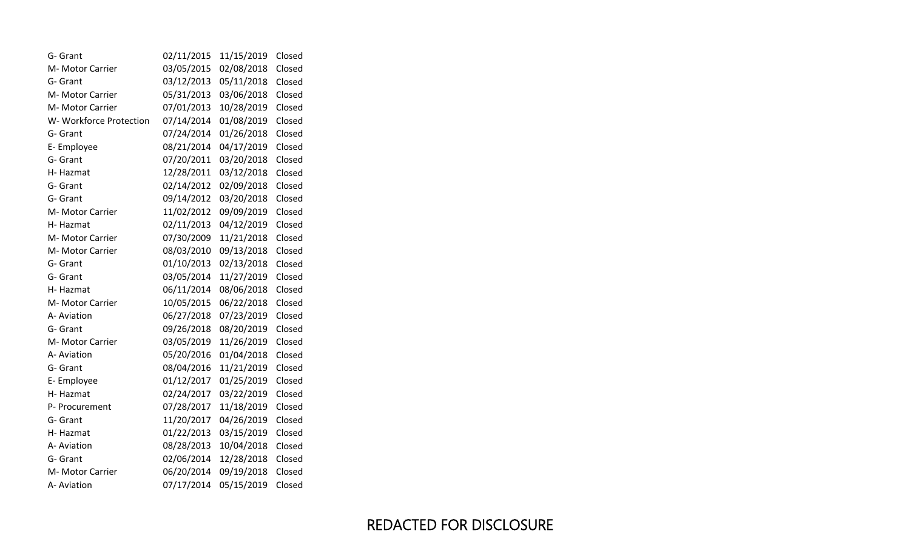| G- Grant                | 02/11/2015 | 11/15/2019 | Closed |
|-------------------------|------------|------------|--------|
| M- Motor Carrier        | 03/05/2015 | 02/08/2018 | Closed |
| G- Grant                | 03/12/2013 | 05/11/2018 | Closed |
| M- Motor Carrier        | 05/31/2013 | 03/06/2018 | Closed |
| M- Motor Carrier        | 07/01/2013 | 10/28/2019 | Closed |
| W- Workforce Protection | 07/14/2014 | 01/08/2019 | Closed |
| G- Grant                | 07/24/2014 | 01/26/2018 | Closed |
| E-Employee              | 08/21/2014 | 04/17/2019 | Closed |
| G- Grant                | 07/20/2011 | 03/20/2018 | Closed |
| H-Hazmat                | 12/28/2011 | 03/12/2018 | Closed |
| G- Grant                | 02/14/2012 | 02/09/2018 | Closed |
| G- Grant                | 09/14/2012 | 03/20/2018 | Closed |
| M- Motor Carrier        | 11/02/2012 | 09/09/2019 | Closed |
| H-Hazmat                | 02/11/2013 | 04/12/2019 | Closed |
| M- Motor Carrier        | 07/30/2009 | 11/21/2018 | Closed |
| M- Motor Carrier        | 08/03/2010 | 09/13/2018 | Closed |
| G- Grant                | 01/10/2013 | 02/13/2018 | Closed |
| G- Grant                | 03/05/2014 | 11/27/2019 | Closed |
| H-Hazmat                | 06/11/2014 | 08/06/2018 | Closed |
| M- Motor Carrier        | 10/05/2015 | 06/22/2018 | Closed |
| A- Aviation             | 06/27/2018 | 07/23/2019 | Closed |
| G- Grant                | 09/26/2018 | 08/20/2019 | Closed |
| M- Motor Carrier        | 03/05/2019 | 11/26/2019 | Closed |
| A- Aviation             | 05/20/2016 | 01/04/2018 | Closed |
| G- Grant                | 08/04/2016 | 11/21/2019 | Closed |
| E-Employee              | 01/12/2017 | 01/25/2019 | Closed |
| H-Hazmat                | 02/24/2017 | 03/22/2019 | Closed |
| P- Procurement          | 07/28/2017 | 11/18/2019 | Closed |
| G- Grant                | 11/20/2017 | 04/26/2019 | Closed |
| H-Hazmat                | 01/22/2013 | 03/15/2019 | Closed |
| A- Aviation             | 08/28/2013 | 10/04/2018 | Closed |
| G- Grant                | 02/06/2014 | 12/28/2018 | Closed |
| M- Motor Carrier        | 06/20/2014 | 09/19/2018 | Closed |
| A- Aviation             | 07/17/2014 | 05/15/2019 | Closed |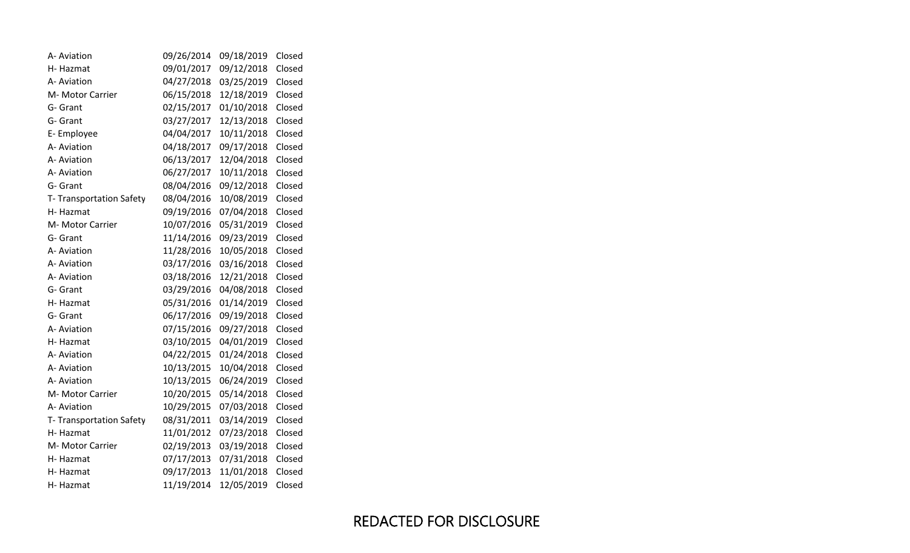| A- Aviation              | 09/26/2014 | 09/18/2019 | Closed |
|--------------------------|------------|------------|--------|
| H-Hazmat                 | 09/01/2017 | 09/12/2018 | Closed |
| A- Aviation              | 04/27/2018 | 03/25/2019 | Closed |
| M- Motor Carrier         | 06/15/2018 | 12/18/2019 | Closed |
| G- Grant                 | 02/15/2017 | 01/10/2018 | Closed |
| G- Grant                 | 03/27/2017 | 12/13/2018 | Closed |
| E-Employee               | 04/04/2017 | 10/11/2018 | Closed |
| A- Aviation              | 04/18/2017 | 09/17/2018 | Closed |
| A- Aviation              | 06/13/2017 | 12/04/2018 | Closed |
| A- Aviation              | 06/27/2017 | 10/11/2018 | Closed |
| G- Grant                 | 08/04/2016 | 09/12/2018 | Closed |
| T- Transportation Safety | 08/04/2016 | 10/08/2019 | Closed |
| H-Hazmat                 | 09/19/2016 | 07/04/2018 | Closed |
| M- Motor Carrier         | 10/07/2016 | 05/31/2019 | Closed |
| G- Grant                 | 11/14/2016 | 09/23/2019 | Closed |
| A- Aviation              | 11/28/2016 | 10/05/2018 | Closed |
| A- Aviation              | 03/17/2016 | 03/16/2018 | Closed |
| A- Aviation              | 03/18/2016 | 12/21/2018 | Closed |
| G- Grant                 | 03/29/2016 | 04/08/2018 | Closed |
| H-Hazmat                 | 05/31/2016 | 01/14/2019 | Closed |
| G- Grant                 | 06/17/2016 | 09/19/2018 | Closed |
| A- Aviation              | 07/15/2016 | 09/27/2018 | Closed |
| H-Hazmat                 | 03/10/2015 | 04/01/2019 | Closed |
| A- Aviation              | 04/22/2015 | 01/24/2018 | Closed |
| A- Aviation              | 10/13/2015 | 10/04/2018 | Closed |
| A- Aviation              | 10/13/2015 | 06/24/2019 | Closed |
| M- Motor Carrier         | 10/20/2015 | 05/14/2018 | Closed |
| A- Aviation              | 10/29/2015 | 07/03/2018 | Closed |
| T- Transportation Safety | 08/31/2011 | 03/14/2019 | Closed |
| H-Hazmat                 | 11/01/2012 | 07/23/2018 | Closed |
| M- Motor Carrier         | 02/19/2013 | 03/19/2018 | Closed |
| H-Hazmat                 | 07/17/2013 | 07/31/2018 | Closed |
| H-Hazmat                 | 09/17/2013 | 11/01/2018 | Closed |
| H-Hazmat                 | 11/19/2014 | 12/05/2019 | Closed |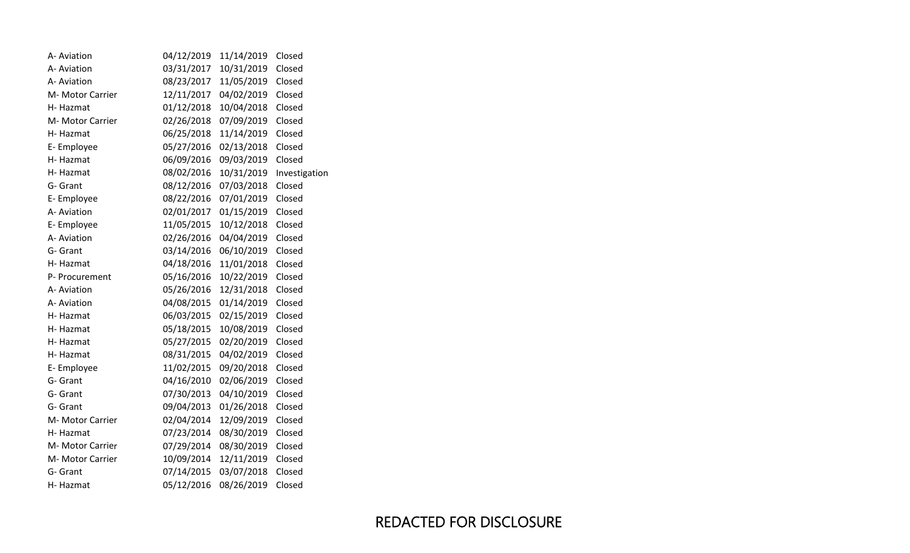| A- Aviation      | 04/12/2019 | 11/14/2019 | Closed        |
|------------------|------------|------------|---------------|
| A- Aviation      | 03/31/2017 | 10/31/2019 | Closed        |
| A- Aviation      | 08/23/2017 | 11/05/2019 | Closed        |
| M- Motor Carrier | 12/11/2017 | 04/02/2019 | Closed        |
| H-Hazmat         | 01/12/2018 | 10/04/2018 | Closed        |
| M- Motor Carrier | 02/26/2018 | 07/09/2019 | Closed        |
| H-Hazmat         | 06/25/2018 | 11/14/2019 | Closed        |
| E-Employee       | 05/27/2016 | 02/13/2018 | Closed        |
| H-Hazmat         | 06/09/2016 | 09/03/2019 | Closed        |
| H-Hazmat         | 08/02/2016 | 10/31/2019 | Investigation |
| G- Grant         | 08/12/2016 | 07/03/2018 | Closed        |
| E-Employee       | 08/22/2016 | 07/01/2019 | Closed        |
| A- Aviation      | 02/01/2017 | 01/15/2019 | Closed        |
| E-Employee       | 11/05/2015 | 10/12/2018 | Closed        |
| A- Aviation      | 02/26/2016 | 04/04/2019 | Closed        |
| G- Grant         | 03/14/2016 | 06/10/2019 | Closed        |
| H-Hazmat         | 04/18/2016 | 11/01/2018 | Closed        |
| P- Procurement   | 05/16/2016 | 10/22/2019 | Closed        |
| A- Aviation      | 05/26/2016 | 12/31/2018 | Closed        |
| A- Aviation      | 04/08/2015 | 01/14/2019 | Closed        |
| H-Hazmat         | 06/03/2015 | 02/15/2019 | Closed        |
| H-Hazmat         | 05/18/2015 | 10/08/2019 | Closed        |
| H- Hazmat        | 05/27/2015 | 02/20/2019 | Closed        |
| H- Hazmat        | 08/31/2015 | 04/02/2019 | Closed        |
| E-Employee       | 11/02/2015 | 09/20/2018 | Closed        |
| G- Grant         | 04/16/2010 | 02/06/2019 | Closed        |
| G- Grant         | 07/30/2013 | 04/10/2019 | Closed        |
| G- Grant         | 09/04/2013 | 01/26/2018 | Closed        |
| M- Motor Carrier | 02/04/2014 | 12/09/2019 | Closed        |
| H-Hazmat         | 07/23/2014 | 08/30/2019 | Closed        |
| M- Motor Carrier | 07/29/2014 | 08/30/2019 | Closed        |
| M- Motor Carrier | 10/09/2014 | 12/11/2019 | Closed        |
| G- Grant         | 07/14/2015 | 03/07/2018 | Closed        |
| H-Hazmat         | 05/12/2016 | 08/26/2019 | Closed        |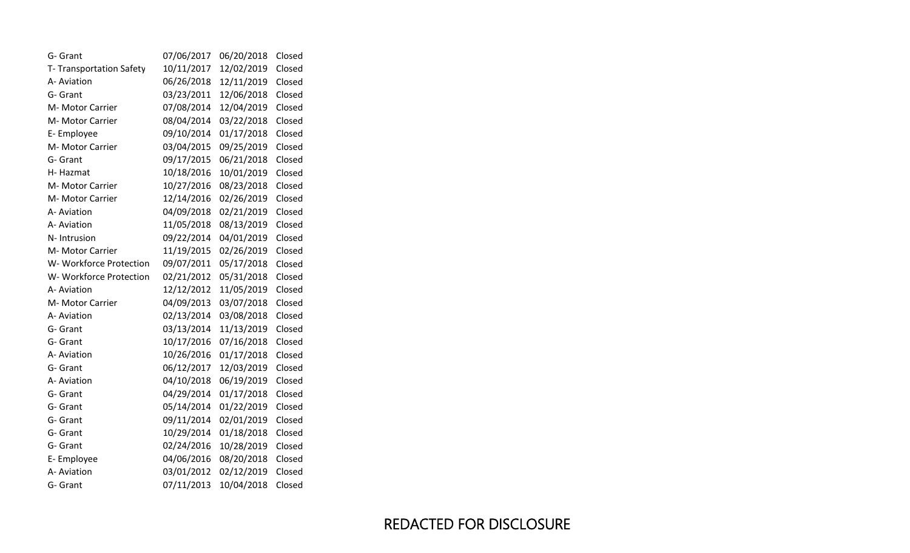| G- Grant                | 07/06/2017 | 06/20/2018 | Closed |
|-------------------------|------------|------------|--------|
| T-Transportation Safety | 10/11/2017 | 12/02/2019 | Closed |
| A- Aviation             | 06/26/2018 | 12/11/2019 | Closed |
| G- Grant                | 03/23/2011 | 12/06/2018 | Closed |
| M- Motor Carrier        | 07/08/2014 | 12/04/2019 | Closed |
| M- Motor Carrier        | 08/04/2014 | 03/22/2018 | Closed |
| E-Employee              | 09/10/2014 | 01/17/2018 | Closed |
| M- Motor Carrier        | 03/04/2015 | 09/25/2019 | Closed |
| G- Grant                | 09/17/2015 | 06/21/2018 | Closed |
| H-Hazmat                | 10/18/2016 | 10/01/2019 | Closed |
| M- Motor Carrier        | 10/27/2016 | 08/23/2018 | Closed |
| M- Motor Carrier        | 12/14/2016 | 02/26/2019 | Closed |
| A- Aviation             | 04/09/2018 | 02/21/2019 | Closed |
| A- Aviation             | 11/05/2018 | 08/13/2019 | Closed |
| N- Intrusion            | 09/22/2014 | 04/01/2019 | Closed |
| M- Motor Carrier        | 11/19/2015 | 02/26/2019 | Closed |
| W- Workforce Protection | 09/07/2011 | 05/17/2018 | Closed |
| W-Workforce Protection  | 02/21/2012 | 05/31/2018 | Closed |
| A- Aviation             | 12/12/2012 | 11/05/2019 | Closed |
| M- Motor Carrier        | 04/09/2013 | 03/07/2018 | Closed |
| A- Aviation             | 02/13/2014 | 03/08/2018 | Closed |
| G- Grant                | 03/13/2014 | 11/13/2019 | Closed |
| G- Grant                | 10/17/2016 | 07/16/2018 | Closed |
| A- Aviation             | 10/26/2016 | 01/17/2018 | Closed |
| G- Grant                | 06/12/2017 | 12/03/2019 | Closed |
| A- Aviation             | 04/10/2018 | 06/19/2019 | Closed |
| G- Grant                | 04/29/2014 | 01/17/2018 | Closed |
| G- Grant                | 05/14/2014 | 01/22/2019 | Closed |
| G- Grant                | 09/11/2014 | 02/01/2019 | Closed |
| G- Grant                | 10/29/2014 | 01/18/2018 | Closed |
| G- Grant                | 02/24/2016 | 10/28/2019 | Closed |
| E-Employee              | 04/06/2016 | 08/20/2018 | Closed |
| A- Aviation             | 03/01/2012 | 02/12/2019 | Closed |
| G- Grant                | 07/11/2013 | 10/04/2018 | Closed |